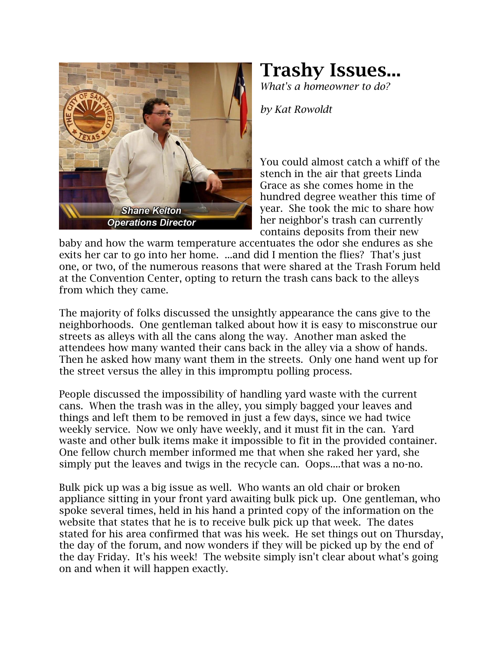

## **Trashy Issues...**

*What's a homeowner to do?*

*by Kat Rowoldt*

You could almost catch a whiff of the stench in the air that greets Linda Grace as she comes home in the hundred degree weather this time of year. She took the mic to share how her neighbor's trash can currently contains deposits from their new

baby and how the warm temperature accentuates the odor she endures as she exits her car to go into her home. ...and did I mention the flies? That's just one, or two, of the numerous reasons that were shared at the Trash Forum held at the Convention Center, opting to return the trash cans back to the alleys from which they came.

The majority of folks discussed the unsightly appearance the cans give to the neighborhoods. One gentleman talked about how it is easy to misconstrue our streets as alleys with all the cans along the way. Another man asked the attendees how many wanted their cans back in the alley via a show of hands. Then he asked how many want them in the streets. Only one hand went up for the street versus the alley in this impromptu polling process.

People discussed the impossibility of handling yard waste with the current cans. When the trash was in the alley, you simply bagged your leaves and things and left them to be removed in just a few days, since we had twice weekly service. Now we only have weekly, and it must fit in the can. Yard waste and other bulk items make it impossible to fit in the provided container. One fellow church member informed me that when she raked her yard, she simply put the leaves and twigs in the recycle can. Oops....that was a no-no.

Bulk pick up was a big issue as well. Who wants an old chair or broken appliance sitting in your front yard awaiting bulk pick up. One gentleman, who spoke several times, held in his hand a printed copy of the information on the website that states that he is to receive bulk pick up that week. The dates stated for his area confirmed that was his week. He set things out on Thursday, the day of the forum, and now wonders if they will be picked up by the end of the day Friday. It's his week! The website simply isn't clear about what's going on and when it will happen exactly.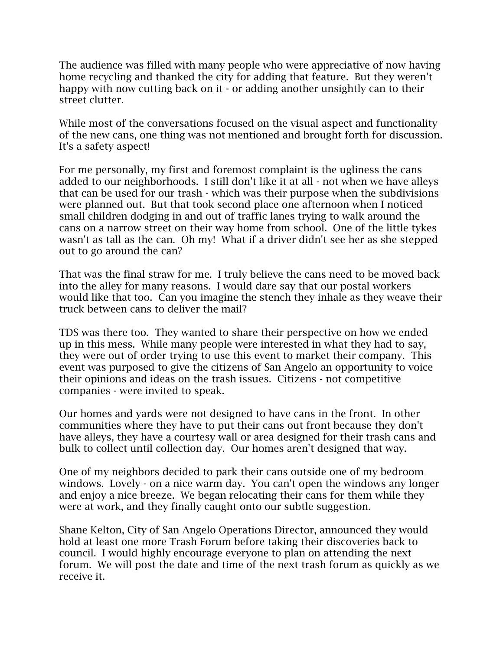The audience was filled with many people who were appreciative of now having home recycling and thanked the city for adding that feature. But they weren't happy with now cutting back on it - or adding another unsightly can to their street clutter.

While most of the conversations focused on the visual aspect and functionality of the new cans, one thing was not mentioned and brought forth for discussion. It's a safety aspect!

For me personally, my first and foremost complaint is the ugliness the cans added to our neighborhoods. I still don't like it at all - not when we have alleys that can be used for our trash - which was their purpose when the subdivisions were planned out. But that took second place one afternoon when I noticed small children dodging in and out of traffic lanes trying to walk around the cans on a narrow street on their way home from school. One of the little tykes wasn't as tall as the can. Oh my! What if a driver didn't see her as she stepped out to go around the can?

That was the final straw for me. I truly believe the cans need to be moved back into the alley for many reasons. I would dare say that our postal workers would like that too. Can you imagine the stench they inhale as they weave their truck between cans to deliver the mail?

TDS was there too. They wanted to share their perspective on how we ended up in this mess. While many people were interested in what they had to say, they were out of order trying to use this event to market their company. This event was purposed to give the citizens of San Angelo an opportunity to voice their opinions and ideas on the trash issues. Citizens - not competitive companies - were invited to speak.

Our homes and yards were not designed to have cans in the front. In other communities where they have to put their cans out front because they don't have alleys, they have a courtesy wall or area designed for their trash cans and bulk to collect until collection day. Our homes aren't designed that way.

One of my neighbors decided to park their cans outside one of my bedroom windows. Lovely - on a nice warm day. You can't open the windows any longer and enjoy a nice breeze. We began relocating their cans for them while they were at work, and they finally caught onto our subtle suggestion.

Shane Kelton, City of San Angelo Operations Director, announced they would hold at least one more Trash Forum before taking their discoveries back to council. I would highly encourage everyone to plan on attending the next forum. We will post the date and time of the next trash forum as quickly as we receive it.